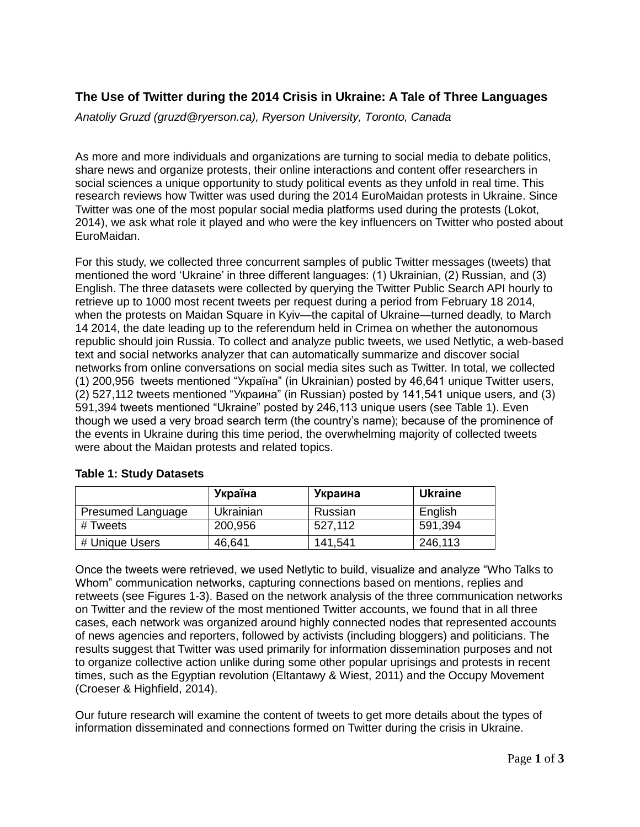## **The Use of Twitter during the 2014 Crisis in Ukraine: A Tale of Three Languages**

*Anatoliy Gruzd (gruzd@ryerson.ca), Ryerson University, Toronto, Canada* 

As more and more individuals and organizations are turning to social media to debate politics, share news and organize protests, their online interactions and content offer researchers in social sciences a unique opportunity to study political events as they unfold in real time. This research reviews how Twitter was used during the 2014 EuroMaidan protests in Ukraine. Since Twitter was one of the most popular social media platforms used during the protests (Lokot, 2014), we ask what role it played and who were the key influencers on Twitter who posted about EuroMaidan.

For this study, we collected three concurrent samples of public Twitter messages (tweets) that mentioned the word 'Ukraine' in three different languages: (1) Ukrainian, (2) Russian, and (3) English. The three datasets were collected by querying the Twitter Public Search API hourly to retrieve up to 1000 most recent tweets per request during a period from February 18 2014, when the protests on Maidan Square in Kyiv—the capital of Ukraine—turned deadly, to March 14 2014, the date leading up to the referendum held in Crimea on whether the autonomous republic should join Russia. To collect and analyze public tweets, we used Netlytic, a web-based text and social networks analyzer that can automatically summarize and discover social networks from online conversations on social media sites such as Twitter. In total, we collected (1) 200,956 tweets mentioned "Україна" (in Ukrainian) posted by 46,641 unique Twitter users, (2) 527,112 tweets mentioned "Украина" (in Russian) posted by 141,541 unique users, and (3) 591,394 tweets mentioned "Ukraine" posted by 246,113 unique users (see Table 1). Even though we used a very broad search term (the country's name); because of the prominence of the events in Ukraine during this time period, the overwhelming majority of collected tweets were about the Maidan protests and related topics.

|                          | Україна   | Украина | <b>Ukraine</b> |
|--------------------------|-----------|---------|----------------|
| <b>Presumed Language</b> | Ukrainian | Russian | English        |
| # Tweets                 | 200,956   | 527,112 | 591,394        |
| # Unique Users           | 46,641    | 141,541 | 246,113        |

## **Table 1: Study Datasets**

Once the tweets were retrieved, we used Netlytic to build, visualize and analyze "Who Talks to Whom" communication networks, capturing connections based on mentions, replies and retweets (see Figures 1-3). Based on the network analysis of the three communication networks on Twitter and the review of the most mentioned Twitter accounts, we found that in all three cases, each network was organized around highly connected nodes that represented accounts of news agencies and reporters, followed by activists (including bloggers) and politicians. The results suggest that Twitter was used primarily for information dissemination purposes and not to organize collective action unlike during some other popular uprisings and protests in recent times, such as the Egyptian revolution (Eltantawy & Wiest, 2011) and the Occupy Movement (Croeser & Highfield, 2014).

Our future research will examine the content of tweets to get more details about the types of information disseminated and connections formed on Twitter during the crisis in Ukraine.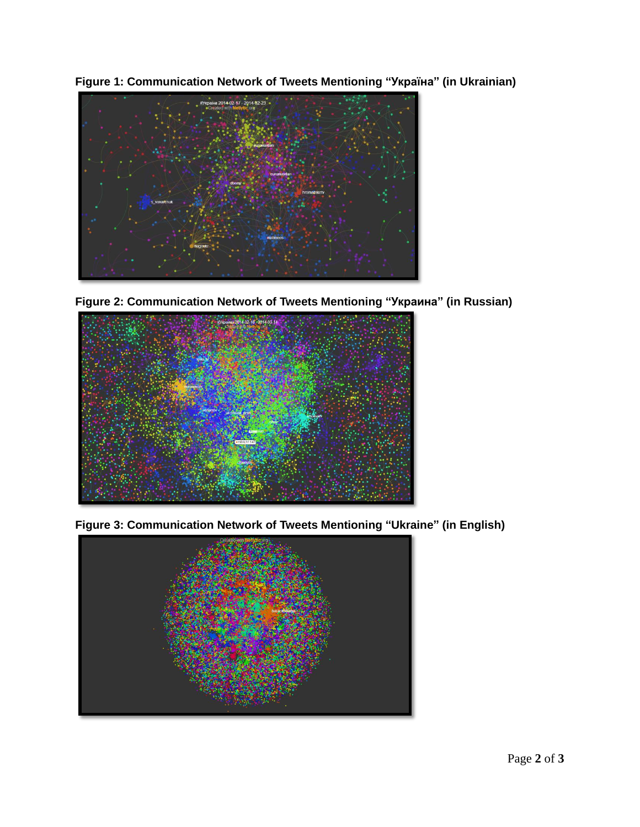**Figure 1: Communication Network of Tweets Mentioning "Україна" (in Ukrainian)**



**Figure 2: Communication Network of Tweets Mentioning "Украина" (in Russian)**



**Figure 3: Communication Network of Tweets Mentioning "Ukraine" (in English)**